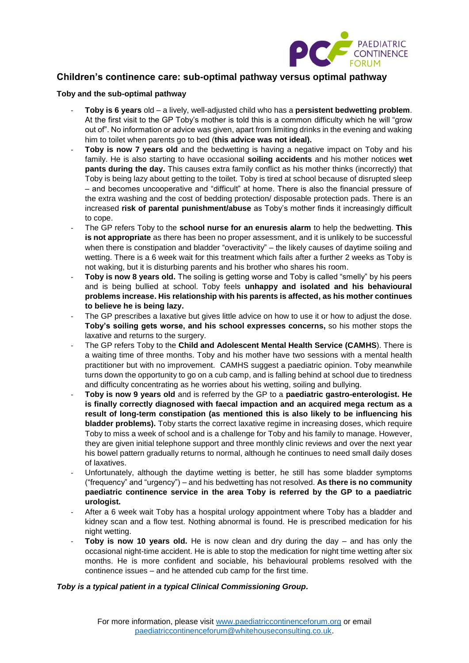

# **Children's continence care: sub-optimal pathway versus optimal pathway**

#### **Toby and the sub-optimal pathway**

- **Toby is 6 years** old a lively, well-adjusted child who has a **persistent bedwetting problem**. At the first visit to the GP Toby's mother is told this is a common difficulty which he will "grow out of". No information or advice was given, apart from limiting drinks in the evening and waking him to toilet when parents go to bed (**this advice was not ideal).**
- **Toby is now 7 years old** and the bedwetting is having a negative impact on Toby and his family. He is also starting to have occasional **soiling accidents** and his mother notices **wet pants during the day.** This causes extra family conflict as his mother thinks (incorrectly) that Toby is being lazy about getting to the toilet. Toby is tired at school because of disrupted sleep – and becomes uncooperative and "difficult" at home. There is also the financial pressure of the extra washing and the cost of bedding protection/ disposable protection pads. There is an increased **risk of parental punishment/abuse** as Toby's mother finds it increasingly difficult to cope.
- The GP refers Toby to the **school nurse for an enuresis alarm** to help the bedwetting. **This is not appropriate** as there has been no proper assessment, and it is unlikely to be successful when there is constipation and bladder "overactivity" – the likely causes of daytime soiling and wetting. There is a 6 week wait for this treatment which fails after a further 2 weeks as Toby is not waking, but it is disturbing parents and his brother who shares his room.
- **Toby is now 8 years old.** The soiling is getting worse and Toby is called "smelly" by his peers and is being bullied at school. Toby feels **unhappy and isolated and his behavioural problems increase. His relationship with his parents is affected, as his mother continues to believe he is being lazy.**
- The GP prescribes a laxative but gives little advice on how to use it or how to adjust the dose. **Toby's soiling gets worse, and his school expresses concerns,** so his mother stops the laxative and returns to the surgery.
- The GP refers Toby to the **Child and Adolescent Mental Health Service (CAMHS**). There is a waiting time of three months. Toby and his mother have two sessions with a mental health practitioner but with no improvement. CAMHS suggest a paediatric opinion. Toby meanwhile turns down the opportunity to go on a cub camp, and is falling behind at school due to tiredness and difficulty concentrating as he worries about his wetting, soiling and bullying.
- **Toby is now 9 years old** and is referred by the GP to a **paediatric gastro-enterologist. He is finally correctly diagnosed with faecal impaction and an acquired mega rectum as a result of long-term constipation (as mentioned this is also likely to be influencing his bladder problems).** Toby starts the correct laxative regime in increasing doses, which require Toby to miss a week of school and is a challenge for Toby and his family to manage. However, they are given initial telephone support and three monthly clinic reviews and over the next year his bowel pattern gradually returns to normal, although he continues to need small daily doses of laxatives.
- Unfortunately, although the daytime wetting is better, he still has some bladder symptoms ("frequency" and "urgency") – and his bedwetting has not resolved. **As there is no community paediatric continence service in the area Toby is referred by the GP to a paediatric urologist.**
- After a 6 week wait Toby has a hospital urology appointment where Toby has a bladder and kidney scan and a flow test. Nothing abnormal is found. He is prescribed medication for his night wetting.
- **Toby is now 10 years old.** He is now clean and dry during the day and has only the occasional night-time accident. He is able to stop the medication for night time wetting after six months. He is more confident and sociable, his behavioural problems resolved with the continence issues – and he attended cub camp for the first time.

## *Toby is a typical patient in a typical Clinical Commissioning Group.*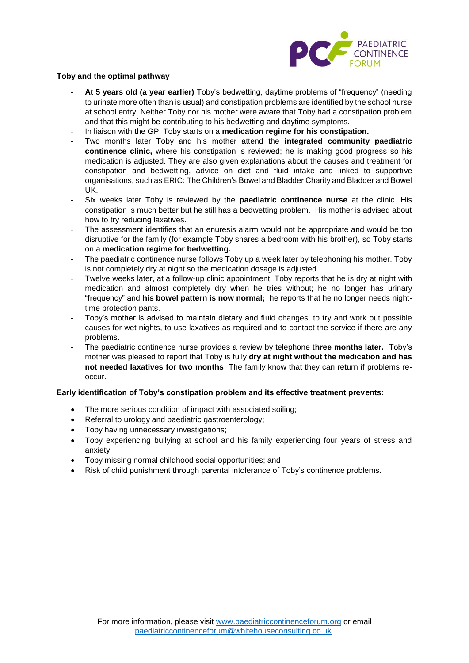

#### **Toby and the optimal pathway**

- **At 5 years old (a year earlier)** Toby's bedwetting, daytime problems of "frequency" (needing to urinate more often than is usual) and constipation problems are identified by the school nurse at school entry. Neither Toby nor his mother were aware that Toby had a constipation problem and that this might be contributing to his bedwetting and daytime symptoms.
- In liaison with the GP, Toby starts on a **medication regime for his constipation.**
- Two months later Toby and his mother attend the **integrated community paediatric continence clinic,** where his constipation is reviewed; he is making good progress so his medication is adjusted. They are also given explanations about the causes and treatment for constipation and bedwetting, advice on diet and fluid intake and linked to supportive organisations, such as ERIC: The Children's Bowel and Bladder Charity and Bladder and Bowel UK.
- Six weeks later Toby is reviewed by the **paediatric continence nurse** at the clinic. His constipation is much better but he still has a bedwetting problem. His mother is advised about how to try reducing laxatives.
- The assessment identifies that an enuresis alarm would not be appropriate and would be too disruptive for the family (for example Toby shares a bedroom with his brother), so Toby starts on a **medication regime for bedwetting.**
- The paediatric continence nurse follows Toby up a week later by telephoning his mother. Toby is not completely dry at night so the medication dosage is adjusted.
- Twelve weeks later, at a follow-up clinic appointment, Toby reports that he is dry at night with medication and almost completely dry when he tries without; he no longer has urinary "frequency" and **his bowel pattern is now normal;** he reports that he no longer needs nighttime protection pants.
- Toby's mother is advised to maintain dietary and fluid changes, to try and work out possible causes for wet nights, to use laxatives as required and to contact the service if there are any problems.
- The paediatric continence nurse provides a review by telephone t**hree months later.** Toby's mother was pleased to report that Toby is fully **dry at night without the medication and has not needed laxatives for two months**. The family know that they can return if problems reoccur.

## **Early identification of Toby's constipation problem and its effective treatment prevents:**

- The more serious condition of impact with associated soiling;
- Referral to urology and paediatric gastroenterology;
- Toby having unnecessary investigations;
- Toby experiencing bullying at school and his family experiencing four years of stress and anxiety;
- Toby missing normal childhood social opportunities; and
- Risk of child punishment through parental intolerance of Toby's continence problems.